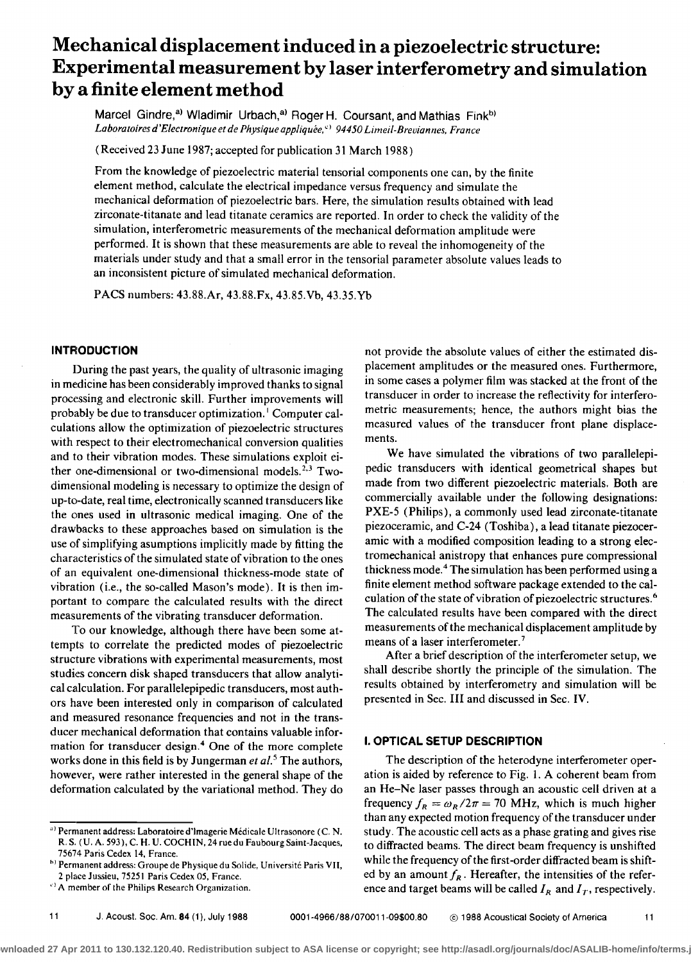# **Mechanical displacement induced in a piezoelectric structure: Experimental measurement by laser interferometry and simulation by a finite element method**

Marcel Gindre,<sup>a)</sup> Wladimir Urbach,<sup>a)</sup> Roger H. Coursant, and Mathias Fink<sup>b)</sup> Laboratoires d'Electronique et de Physique appliquée, <sup>c)</sup> 94450 Limeil-Breviannes, France

**(Received 23 June 1987; accepted for publication 31 March 1988)** 

From the knowledge of piezoelectric material tensorial components one can, by the finite **element method, calculate the electrical impedance versus frequency and simulate the mechanical deformation of piezoelectric bars. Here, the simulation results obtained with lead**  zirconate-titanate and lead titanate ceramics are reported. In order to check the validity of the **simulation, interferemetric measurements of the mechanical deformation amplitude were performed. It is shown that these measurements are able to reveal the inhomogeneity of the materials under study and that a small error in the tensoffal parameter absolute values leads to an inconsistent picture of simulated mechanical deformation.** 

**PACS numbers: 43.88.Ar, 43.88.Fx, 43.85.Vb, 43.35.Yb** 

#### **INTRODUCTION**

**During the past years, the quality of ultrasonic imaging in medicine has been considerably improved thanks to signal processing and electronic skill. Further improvements will probably be due to transducer optimization. • Computer calculations allow the optimization of piezoelectric structures**  with respect to their electromechanical conversion qualities **and to their vibration modes. These simulations exploit either one-dimensional or two-dimensional models. 2'3 Twodimensional modeling is necessary to optimize the design of up-to-date, real time, electronically scanned transducers like the ones used in ultrasonic medical imaging. One of the drawbacks to these approaches based on simulation is the use of simplifying asumptions implicitly made by fitting the characteristics of the simulated state of vibration to the ones of an equivalent one-dimensional thickness-mode state of vibration (i.e., the so-called Mason's mode). It is then important to compare the calculated results with the direct measurements of the vibrating transducer deformation.** 

**To our knowledge, although there have been some attempts to correlate the predicted modes of piezoelectric structure vibrations with experimental measurements, most studies concern disk shaped transducers that allow analyti**cal calculation. For parallelepipedic transducers, most auth**ors have been interested only in comparison of calculated**  and measured resonance frequencies and not in the trans**ducer mechanical deformation that contains valuable information for transducer design. 4 One of the more complete**  works done in this field is by Jungerman et al.<sup>5</sup> The authors, **however, were rather interested in the general shape of the deformation calculated by the variational method. They do** 

**11 J. Acoust. Sec. Am. 84 (1), July 1988 0001-4966/88/070011-09500.80 © 1988 Acoustical Society of America 11** 

**not provide the absolute values of either the estimated displacement amplitudes or the measured ones. Furthermore, in some cases a polymer film was stacked at the front of the transducer in order to increase the reflectivity for interferemetric measurements; hence, the authors might bias the measured values of the transducer front plane displacements.** 

**We have simulated the vibrations of two parallelepipedic transducers with identical geometrical shapes but made from two different piezoelectric materials. Both are commercially available under the following designations: PXE-5 (Philips), a commonly used lead zirconate-titanate piezoceramic, and C-24 (Toshiba), a lead titanate piezoceramic with a modified composition leading to a strong electromechanical anistropy that enhances pure compressional thickness mode. 4The simulation has been performed using a finite element method software package extended to the cal**culation of the state of vibration of piezoelectric structures.<sup>6</sup> **The calculated results have been compared with the direct measurements of the mechanical displacement amplitude by means of a laser interferometer. 7** 

**After a brief description of the interferometer setup, we shall describe shortly the principle of the simulation. The results obtained by interferometry and simulation will be presented in Sec. III and discussed in Sec. IV.** 

## **I. OPTICAL SETUP DESCRIPTION**

**The description of the heterodyne interferometer operation is aided by reference to Fig. 1. A coherent beam from an He-Ne laser passes through an acoustic cell driven at a**  frequency  $f_R = \omega_R/2\pi = 70$  MHz, which is much higher **than any expected motion frequency of the transducer under study. The acoustic cell acts as a phase grating and gives rise to diffracted beams. The direct beam frequency is unshifted while the frequency of the first-order diffracted beam is shift**ed by an amount  $f_R$ . Hereafter, the intensities of the reference and target beams will be called  $I_R$  and  $I_T$ , respectively.

<sup>&</sup>lt;sup>a)</sup> Permanent address: Laboratoire d'Imagerie Médicale Ultrasonore (C. N. **R. S. ( U. A. 593), C. H. U. COCHIN, 24 rue du Faubourg Saint-Jacques, 75674 Paris Cedcx 14, France.** 

<sup>&</sup>lt;sup>h)</sup> Permanent address: Groupe de Physique du Solide, Université Paris VII, **2 place Jussieu, 75251 Paris Cedex 05, France.** 

**A member of the Philips Research Organization.**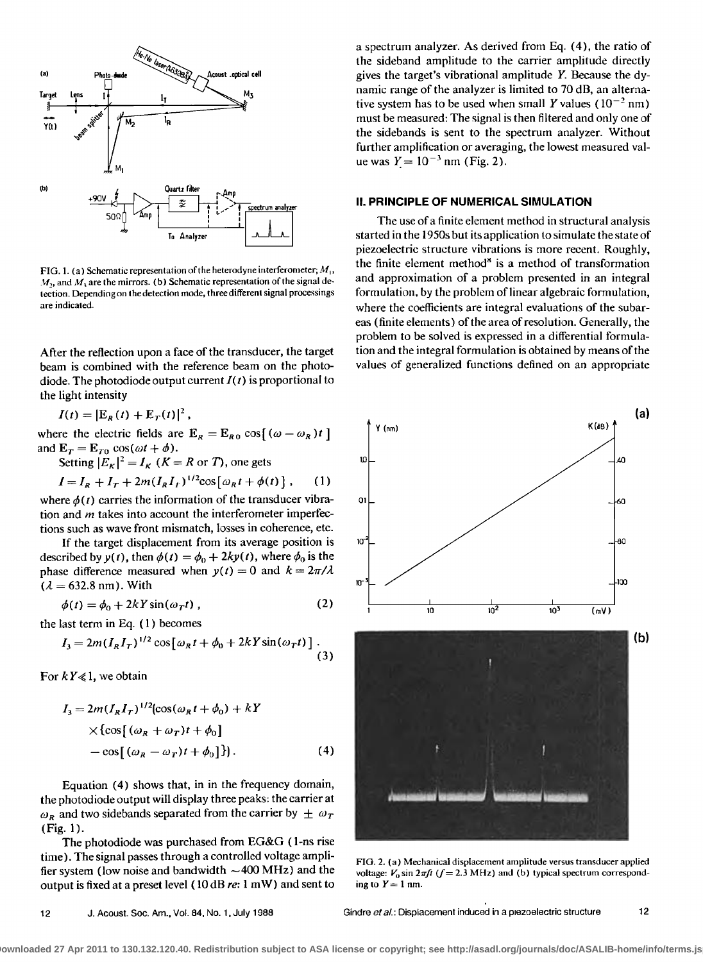

FIG. 1. (a) Schematic representation of the heterodyne interferometer;  $M_1$ ,  $M_{1}$ , and  $M_{1}$  are the mirrors. (b) Schematic representation of the signal detection. Depending on the detection mode, three different signal processings are indicated.

After the reflection upon a face of the transducer, the target beam is combined with the reference beam on the photodiode. The photodiode output current  $I(t)$  is proportional to the light intensity

 $I(t) = |E_R(t) + E_T(t)|^2$ ,

where the electric fields are  $E_R = E_{R0} \cos[(\omega - \omega_R)t]$ and  $\mathbf{E}_T = \mathbf{E}_{T0} \cos(\omega t + \phi)$ .<br>Setting  $|E_K|^2 = I_K$  ( $K = R$  or T), one gets

$$
I = I_R + I_T + 2m(I_R I_T)^{1/2} \cos[\omega_R t + \phi(t)], \qquad (1)
$$

where  $\phi(t)$  carries the information of the transducer vibration and  $m$  takes into account the interferometer imperfections such as wave front mismatch, losses in coherence, etc.

If the target displacement from its average position is described by  $y(t)$ , then  $\phi(t) = \phi_0 + 2ky(t)$ , where  $\phi_0$  is the phase difference measured when  $y(t) = 0$  and  $k = 2\pi/\lambda$  $(\lambda = 632.8 \text{ nm})$ . With

$$
\phi(t) = \phi_0 + 2kY \sin(\omega_T t) ,
$$

the last term in Eq.  $(1)$  becomes

$$
I_3 = 2m(I_R I_T)^{1/2} \cos[\omega_R t + \phi_0 + 2kY \sin(\omega_T t)] \tag{3}
$$

For  $kY \ll 1$ , we obtain

$$
I_3 = 2m(I_R I_T)^{1/2} [\cos(\omega_R t + \phi_0) + kY
$$
  
 
$$
\times {\cos[(\omega_R + \omega_T)t + \phi_0]}
$$
  
- cos[(\omega\_R - \omega\_T)t + \phi\_0]}). (4)

Equation (4) shows that, in in the frequency domain, the photodiode output will display three peaks: the carrier at  $\omega_R$  and two sidebands separated from the carrier by  $\pm \omega_T$  $(Fig. 1).$ 

The photodiode was purchased from EG&G (1-ns rise time). The signal passes through a controlled voltage amplifier system (low noise and bandwidth  $\sim$  400 MHz) and the output is fixed at a preset level (10 dB re: 1 mW) and sent to a spectrum analyzer. As derived from Eq. (4), the ratio of the sideband amplitude to the carrier amplitude directly gives the target's vibrational amplitude Y. Because the dynamic range of the analyzer is limited to 70 dB, an alternative system has to be used when small Y values  $(10^{-2} \text{ nm})$ must be measured: The signal is then filtered and only one of the sidebands is sent to the spectrum analyzer. Without further amplification or averaging, the lowest measured value was  $Y = 10^{-3}$  nm (Fig. 2).

## II. PRINCIPLE OF NUMERICAL SIMULATION

The use of a finite element method in structural analysis started in the 1950s but its application to simulate the state of piezoelectric structure vibrations is more recent. Roughly, the finite element method<sup>8</sup> is a method of transformation and approximation of a problem presented in an integral formulation, by the problem of linear algebraic formulation, where the coefficients are integral evaluations of the subareas (finite elements) of the area of resolution. Generally, the problem to be solved is expressed in a differential formulation and the integral formulation is obtained by means of the values of generalized functions defined on an appropriate



FIG. 2. (a) Mechanical displacement amplitude versus transducer applied voltage:  $V_0 \sin 2\pi f$  ( $f = 2.3$  MHz) and (b) typical spectrum corresponding to  $Y = 1$  nm.

 $12$ 

Gindre et al.: Displacement induced in a piezoelectric structure

 $(2)$ 

ownloaded 27 Apr 2011 to 130.132.120.40. Redistribution subject to ASA license or copyright; see http://asadl.org/journals/doc/ASALIB-home/info/terms.js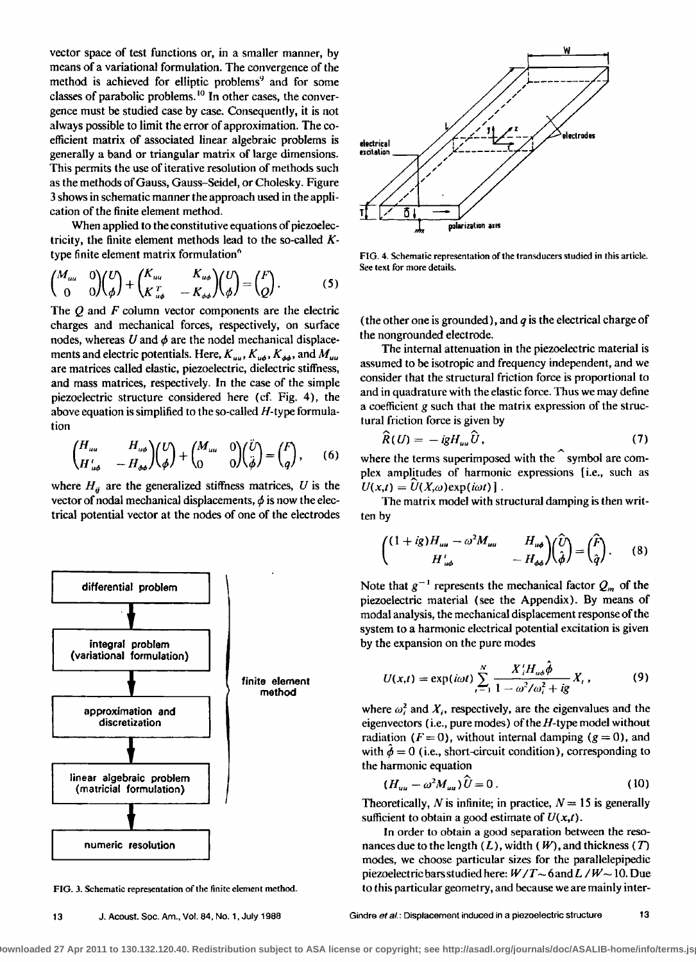**vector space of test functions or, in a smaller manner, by means of a variational formulation. The convergence of the**  method is achieved for elliptic problems<sup>9</sup> and for some classes of parabolic problems.<sup>10</sup> In other cases, the conver**gence must be studied case by case. Consequently, it is not always possible to limit the error of approximation. The coefficient matrix of associated linear algebraic problems is generally a band or triangular matrix of large dimensions. This permits the use of iterative resolution of methods such as the methods of Gauss, Gauss-Seidel, or Cholesky. Figure 3 shows in schematic manner the approach used in the application of the finite element method.** 

When applied to the constitutive equations of piezoelec**tricity, the finite element methods lead to the so-called K**type finite element matrix formulation<sup>6</sup>

$$
\begin{pmatrix} M_{uu} & 0 \\ 0 & 0 \end{pmatrix} \begin{pmatrix} U \\ \phi \end{pmatrix} + \begin{pmatrix} K_{uu} & K_{u\phi} \\ K_{u\phi}^T & -K_{\phi\phi} \end{pmatrix} \begin{pmatrix} U \\ \phi \end{pmatrix} = \begin{pmatrix} F \\ Q \end{pmatrix}.
$$
 (5)

**The Q and F column vector components are the electric charges and mechanical forces, respectively, on surface**  nodes, whereas  $U$  and  $\phi$  are the nodel mechanical displacements and electric potentials. Here,  $K_{uu}$ ,  $K_{u\phi}$ ,  $K_{\phi\phi}$ , and  $M_{uu}$ **are matrices called elastic, piezoelectric, dielectric stiffness, and mass matrices, respectively. In the case of the simple piezoelectric structure considered here (cf. Fig. 4), the above equation is simplified to the so-called H-type formulation** 

$$
\begin{pmatrix} H_{uu} & H_{u\phi} \\ H'_{u\phi} & -H_{\phi\phi} \end{pmatrix} \begin{pmatrix} U \\ \phi \end{pmatrix} + \begin{pmatrix} M_{uu} & 0 \\ 0 & 0 \end{pmatrix} \begin{pmatrix} \ddot{U} \\ \ddot{\phi} \end{pmatrix} = \begin{pmatrix} F \\ q \end{pmatrix}, \qquad (6)
$$

where  $H_{ii}$  are the generalized stiffness matrices, U is the vector of nodal mechanical displacements,  $\phi$  is now the elec**trical potential vector at the nodes of one of the electrodes** 



**FIG. 3. Schematic representation of the finite element method.** 



**FIG. 4. Schematic representation of the transducers studied in this article. See text for more details.** 

**(the other one is grounded), and q is the electrical charge of the nongrounded electrode.** 

**The internal attenuation in the piezoelectric material is assumed to be isotropic and frequency independent, and we consider that the structural friction force is proportional to and in quadrature with the elastic force. Thus we may define a coefficient gsuch that the matrix expression of the structural friction force is given by** 

$$
\widehat{R}(U) = -igH_{uu}\widehat{U},\qquad(7)
$$

where the terms superimposed with the symbol are complex amplitudes of harmonic expressions *[i.e., such as*  $U(x,t) = U(X,\omega) \exp(i\omega t)$ .

**The matrix model with structural damping is then written by** 

$$
\begin{pmatrix} (1+ig)H_{uu}-\omega^2 M_{uu} & H_{u\phi} \\ H'_{u\phi} & -H_{\phi\phi} \end{pmatrix} \begin{pmatrix} \hat{U} \\ \hat{\phi} \end{pmatrix} = \begin{pmatrix} \hat{F} \\ \hat{q} \end{pmatrix}.
$$
 (8)

Note that  $g^{-1}$  represents the mechanical factor  $Q_m$  of the **piezoelectric material (see the Appendix). By means of modal analysis, the mechanical displacement response of the system to a harmonic electrical potential excitation is given by the expansion on the pure modes** 

$$
U(x,t) = \exp(i\omega t) \sum_{i=1}^{N} \frac{X'_{i}H_{u\phi}\hat{\phi}}{1 - \omega^{2}/\omega_{i}^{2} + ig X_{i}},
$$
(9)

where  $\omega_i^2$  and  $X_i$ , respectively, are the eigenvalues and the **eigenvectors (i.e., pure modes) of the H-type model without**  radiation  $(F = 0)$ , without internal damping  $(g = 0)$ , and with  $\hat{\phi} = 0$  (i.e., short-circuit condition), corresponding to **the harmonic equation** 

$$
(H_{uu}-\omega^2 M_{uu})\,\hat{U}=0\,. \tag{10}
$$

**Theoretically,** N is infinite; in practice,  $N = 15$  is generally sufficient to obtain a good estimate of  $U(x,t)$ .

**In order to obtain a good separation between the reso**nances due to the length  $(L)$ , width  $(W)$ , and thickness  $(T)$ **modes, we choose particular sizes for the parallelepipedic**  piezoelectric bars studied here:  $W/T \sim 6$  and  $L/W \sim 10$ . Due **to this particular geometry, and because we are mainly inter-**

13 J. Acoust. Soc. Am., Vol. 84, No. 1, July 1988 Gindre *et al.*: Displacement induced in a piezoelectric structure 13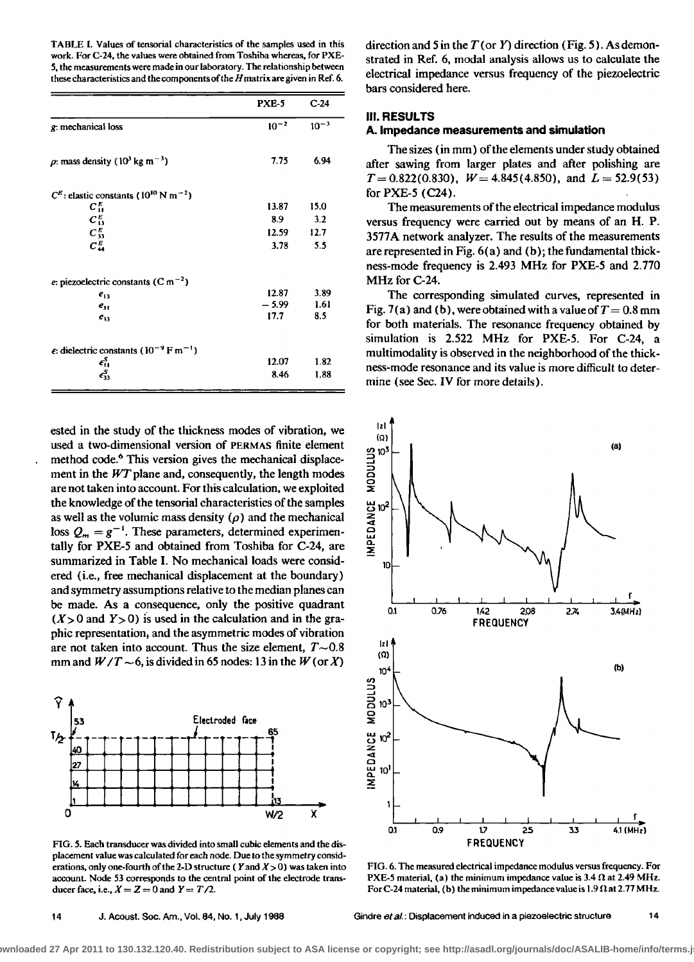**TABLE 1. Values of tensoffal characteristics of the samples used in this work. For C-24, the values were obtained from Toshiba whereas, for PXE-5, the measurements were made in our laboratory. The relationship between these characteristics and the components oft he H matrix are given in Ref. 6.** 

|                                                                         | PXE-5     | $C-24$    |
|-------------------------------------------------------------------------|-----------|-----------|
| g: mechanical loss                                                      | $10^{-2}$ | $10^{-3}$ |
| $\rho$ : mass density (10 <sup>3</sup> kg m <sup>-3</sup> )             | 7.75      | 6.94      |
| $C^E$ : elastic constants (10 <sup>10</sup> N m <sup>-2</sup> )         |           |           |
| $C_{11}^E$                                                              | 13.87     | 15.0      |
| $C_{13}^E$                                                              | 8.9       | 3.2       |
| $C_{33}^E$                                                              | 12.59     | 12.7      |
| $C_{44}^E$                                                              | 3.78      | 5.5       |
| e: piezoelectric constants (C m <sup>-2</sup> )                         |           |           |
| $e_{13}$                                                                | 12.87     | 3.89      |
| $e_{11}$                                                                | $-5.99$   | 1.61      |
| $e_{33}$                                                                | 17.7      | 8.5       |
| $\epsilon$ : dielectric constants (10 <sup>-9</sup> F m <sup>-1</sup> ) |           |           |
| $\epsilon_{\rm H}^{\rm S}$                                              | 12.07     | 1.82      |
| $\epsilon_{33}^S$                                                       | 8.46      | 1.88      |

**ested in the study of the thickness modes of vibration, we used a two-dimensional version of PERMAS finite element**  method code.<sup>6</sup> This version gives the mechanical displacement in the WT plane and, consequently, the length modes **are not taken into account. For this calculation, we exploited**  the knowledge of the tensorial characteristics of the samples as well as the volumic mass density  $(\rho)$  and the mechanical loss  $Q_m = g^{-1}$ . These parameters, determined experimen**tally for PXE-5 and obtained from Toshiba for C-24, are summarized in Table I. No mechanical loads were considered (i.e., free mechanical displacement at the boundary} and symmetry assumptions relative to the median planes can be made. As a consequence, only the positive quadrant**   $(X>0$  and  $Y>0$ ) is used in the calculation and in the gra**phic representation, and the asymmetric modes of vibration**  are not taken into account. Thus the size element,  $T \sim 0.8$ mm and  $W/T \sim 6$ , is divided in 65 nodes: 13 in the W (or X)



**FIG. 5. Each transducer was divided into small cubic elements and the displacement value was calculated for each node. Due to the symmetry considerations, only one-fourth of the 2-D structure ( Yand X> 0) was taken into account. Node 53 corresponds to the central point of the electrode trans**ducer face, i.e.,  $X = Z = 0$  and  $Y = T/2$ .

**direction and 5 in the T(or Y) direction (Fig. 5). As demonstrated in Ref. 6, modal analysis allows us to calculate the electrical impedance versus frequency of the piezoelectric bars considered here.** 

## **Ill. RESULTS**

#### **A. Impedance measurements and simulation**

**The sizes (in mm) of the elements under study obtained after sawing from larger plates and after polishing are**   $T = 0.822(0.830)$ ,  $W = 4.845(4.850)$ , and  $L = 52.9(53)$ **for PXE-5 (C24).** 

**The measurements of the electrical impedance modulus versus frequency were carried out by means of an H. P. 3577A network analyzer. The results of the measurements are represented inFig. 6 (a) and (b); the fundamental thickness-mode frequency is 2.493 MHz for PXE-5 and 2.770 MHz for C-24.** 

**The corresponding simulated curves, represented in**  Fig. 7(a) and (b), were obtained with a value of  $T = 0.8$  mm **for both materials. The resonance frequency obtained by simulation is 2.522 MHz for PXE-5. For C-24, a**  multimodality is observed in the neighborhood of the thick**ness-mode resonance and its value is more difficult to determine (see Sec. IV for more details).** 



**FIG. 6. The measured electrical impedance modulus versus frequency. For PXE-5 material, (a) the minimum impedance value is**  $3.4 \Omega$  **at 2.49 MHz.** For C-24 material, (b) the minimum impedance value is  $1.9 \Omega$  at  $2.77 \text{ MHz}$ .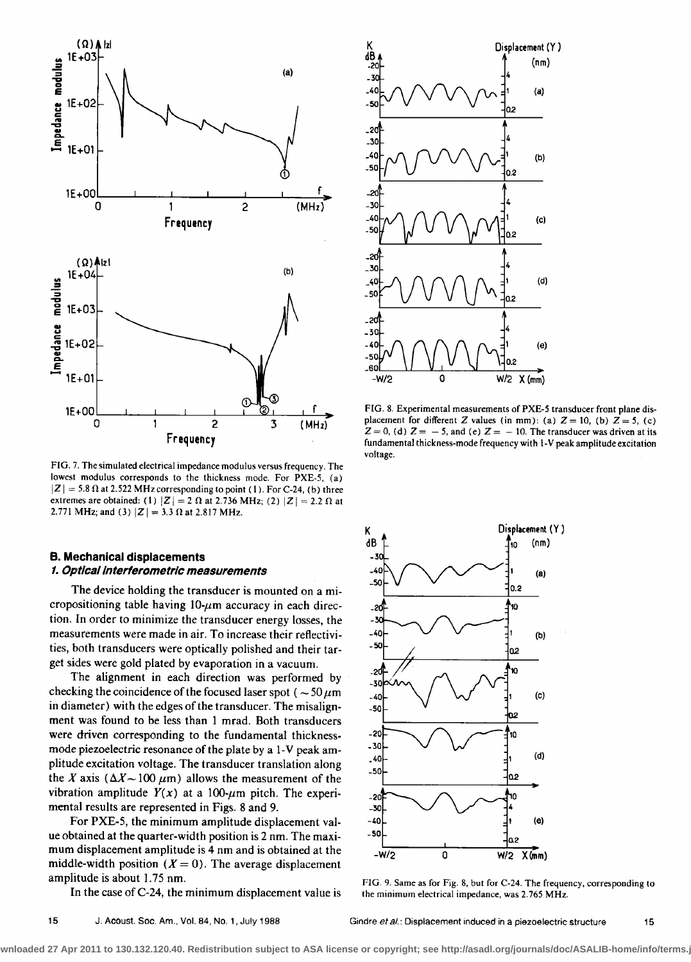

**FIG. 7. The simulated electrical impedance modulus versus frequency. The lowest modulus corresponds to the thickness mode. For PXE-5, (a)**   $|Z| = 5.8 \Omega$  at 2.522 MHz corresponding to point (1). For C-24, (b) three extremes are obtained: (1)  $|Z| = 2 \Omega$  at 2.736 MHz; (2)  $|Z| = 2.2 \Omega$  at 2.771 MHz; and (3)  $|Z| = 3.3 \Omega$  at 2.817 MHz.

## **B. Mechanical displacements 1. Opt/ca/interferometric measurements**

**The device holding the transducer is mounted on a micropositioning table having 10-μm accuracy in each direction. In order to minimize the transducer energy losses, the measurements were made in air. To increase their reflectivities, both transducers were optically polished and their target sides were gold plated by evaporation in a vacuum.** 

**The alignment in each direction was performed by**  checking the coincidence of the focused laser spot ( $\sim$  50  $\mu$ m **in diameter) with the edges of the transducer. The misalignment was found to be less than 1 mrad. Both transducers were driven corresponding to the fundamental thicknessmode piezoelectric resonance of the plate by a 1-V peak amplitude excitation voltage. The transducer tanslation along**  the X axis ( $\Delta X \sim 100 \ \mu \text{m}$ ) allows the measurement of the vibration amplitude  $Y(x)$  at a 100- $\mu$ m pitch. The experi**mental results are represented in Figs. 8 and 9.** 

For PXE-5, the minimum amplitude displacement val**ue obtained at the quarter-width position is 2 nm. The maximum displacement amplitude is 4 nm and is obtained at the**  middle-width position  $(X = 0)$ . The average displacement **amplitude is about 1.75 nm.** 

**In the case of C-24, the minimum displacement value is** 



 $-30$  $-40$ 

-50

20

-40 - 50

**(d) - -50 •0 f 2.**   $-30$ **(e) -40 t -50 cm**  $\frac{1}{2}az$ **-W/2 0 W/2 I X(am)** 

**K Displacement (Y** 

**FIG. 9. Same as for Fig. 8, but for C-24. The frequency, corresponding to the minimum electrical impedance, was 2.765 MHz.** 



**FIG. 8. Experimental measurements of PXE-5 transducer font plane dis**placement for different Z values (in mm): (a)  $Z = 10$ , (b)  $Z = 5$ , (c)  $Z = 0$ , (d)  $Z = -5$ , and (e)  $Z = -10$ . The transducer was driven at its **fundamental thickness-mode frequency with 1-V peak amplitude excitation voltage.** 

٩O

 $0.2$ 10

b2 Ю

١Ō

**(b)** 

 $(a)$ 

**(c)**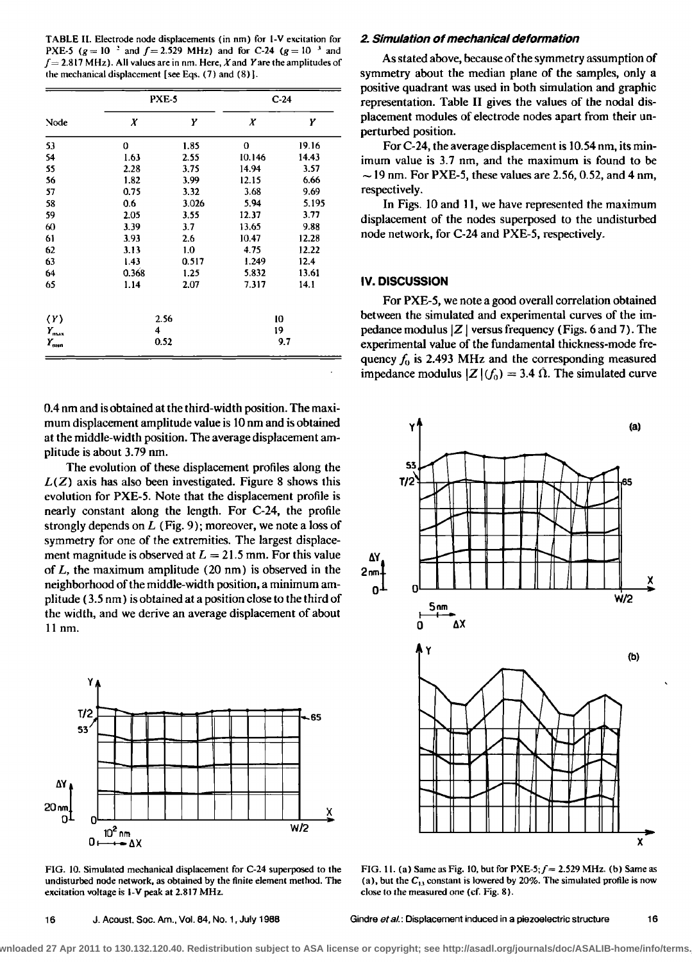**TABLE II. Electrode node displacements (in nm) for I-V excitation for PXE-5** ( $g = 10^{-2}$  and  $f = 2.529$  MHz) and for C-24 ( $g = 10^{-3}$  and  $f = 2.817$  MHz). All values are in nm. Here, X and Y are the amplitudes of **the mechanical displacement [see Eqs. (7) and (8} ].** 

| Node                | PXE-5 |       | $C-24$ |       |  |
|---------------------|-------|-------|--------|-------|--|
|                     | Х     | Υ     | X      | Υ     |  |
| 53                  | 0     | 1.85  | 0      | 19.16 |  |
| 54                  | 1.63  | 2.55  | 10.146 | 14.43 |  |
| 55                  | 2.28  | 3.75  | 14.94  | 3.57  |  |
| 56                  | 1.82  | 3.99  | 12.15  | 6.66  |  |
| 57                  | 0.75  | 3.32  | 3.68   | 9.69  |  |
| 58                  | 0.6   | 3.026 | 5.94   | 5.195 |  |
| 59                  | 2.05  | 3.55  | 12.37  | 3.77  |  |
| 60                  | 3.39  | 3.7   | 13.65  | 9.88  |  |
| 61                  | 3.93  | 2.6   | 10.47  | 12.28 |  |
| 62                  | 3.13  | 1.0   | 4.75   | 12.22 |  |
| 63                  | 1.43  | 0.517 | 1.249  | 12.4  |  |
| 64                  | 0.368 | 1.25  | 5.832  | 13.61 |  |
| 65                  | 1.14  | 2.07  | 7.317  | 14.1  |  |
| $\langle Y \rangle$ | 2.56  |       | 10     |       |  |
| $Y_{\text{max}}$    | 4     |       | 19     |       |  |
| $Y_{\rm{cnn}}$      |       | 0.52  | 9.7    |       |  |

**0.4 nm and is obtained at the third-width position. The maximum displacement amplitude value is 10 nm and is obtained at the middle-width position. The average displacement amplitude is about 3.79 nm.** 

**The evolution of these displacement profiles along the L(Z) axis has also been investigated. Figure 8 shows this evolution for PXE-5. Note that the displacement profile is nearly constant along the length. For C-24, the profile strongly depends on L (Fig. 9); moreover, we note a loss of symmetry for one of the extremities. The largest displace**ment magnitude is observed at  $L = 21.5$  mm. For this value **of L, the maximum amplitude (20 nm) is observed in the neighborhood of the middle-width position, a minimum amplitude (3.5 nm) is obtained at a position close to the third of the width, and we derive an average displacement of about 11 nm.** 



**FIG. 10. Simulated mechanical displacement for C-24 superposed to the undisturbed node network, as obtained by the finite element method. The excitation voltage is I-¾ peak at 2.817 MHz.** 

## **2. Simulation of mechanical deformation**

**As stated above, because ofthe symmetry assumption of symmetry about the median plane of the samples, only a positive quadrant was used in both simulation and graphic representation. Table II gives the values of the nodal displacement modules of electrode nodes apart from their unperturbed position.** 

**For C-24, the average displacement is 10.54 nm, its minimum value is 3.7 rim, and the maximum is found to be • 19 rim. For PXE-5, these values are 2.56, 0.52, and 4 nm, respectively.** 

In Figs. 10 and 11, we have represented the maximum **displacement of the nodes superposed to the undisturbed node network, for C-24 and PXE-5, respectively.** 

## **IV. DISCUSSION**

**For PXE-5, we note a good overall correlation obtained between the simulated and experimental curves of the impedance modulus ]Z I versus frequency (Figs. 6 and 7). The experimental value of the fundamental thickness-mode frequency fo is 2.493 MHz and the corresponding measured impedance modulus**  $|Z|(f_0) = 3.4 \Omega$ **. The simulated curve** 



**FIG. 1 I. (a) Same as Fig. !0, but for PXE-5;f= 2.529 MHz. (b) Same as**  (a), but the  $C_{13}$  constant is lowered by 20%. The simulated profile is now **close Io the measured one (cf. Fig. 8).**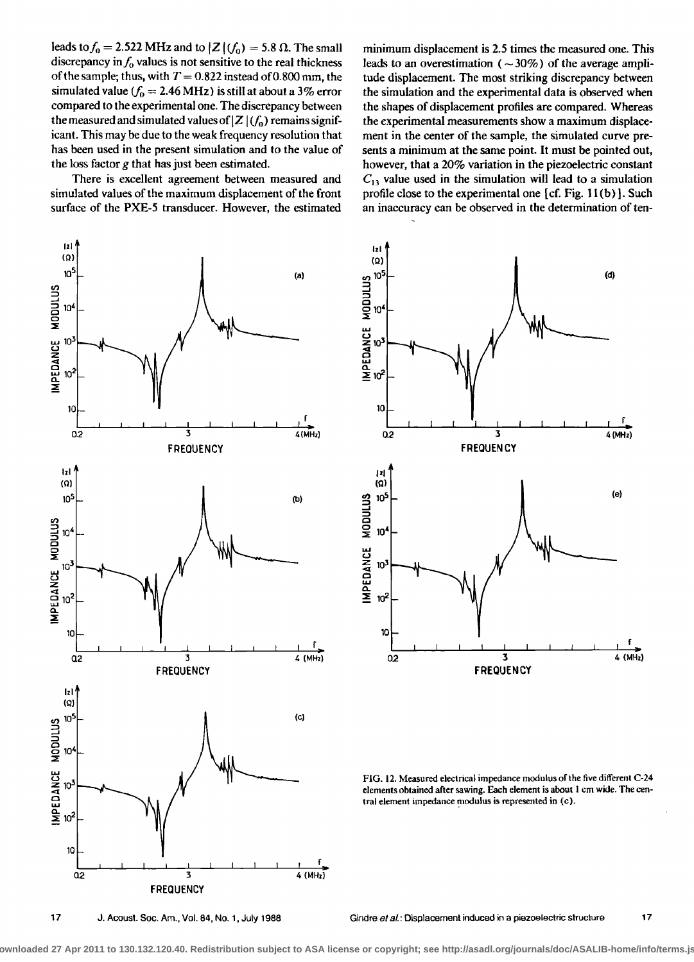leads to  $f_0 = 2.522$  MHz and to  $|Z|(f_0) = 5.8 \Omega$ . The small discrepancy in  $f_0$  values is not sensitive to the real thickness of the sample; thus, with  $T = 0.822$  instead of 0.800 mm, the simulated value ( $f_0 = 2.46 \text{ MHz}$ ) is still at about a 3% error compared to the experimental one. The discrepancy between the measured and simulated values of  $|Z|(f_0)$  remains significant. This may be due to the weak frequency resolution that has been used in the present simulation and to the value of the loss factor  $g$  that has just been estimated.

There is excellent agreement between measured and simulated values of the maximum displacement of the front surface of the PXE-5 transducer. However, the estimated

minimum displacement is 2.5 times the measured one. This leads to an overestimation ( $\sim$ 30%) of the average amplitude displacement. The most striking discrepancy between the simulation and the experimental data is observed when the shapes of displacement profiles are compared. Whereas the experimental measurements show a maximum displacement in the center of the sample, the simulated curve presents a minimum at the same point. It must be pointed out, however, that a 20% variation in the piezoelectric constant  $C_{13}$  value used in the simulation will lead to a simulation profile close to the experimental one [cf. Fig. 11(b)]. Such an inaccuracy can be observed in the determination of ten-





FIG. 12. Measured electrical impedance modulus of the five different C-24 elements obtained after sawing. Each element is about 1 cm wide. The central element impedance modulus is represented in (c).

J. Acoust. Soc. Am., Vol. 84, No. 1, July 1988

Gindre et al.: Displacement induced in a piezoelectric structure  $17$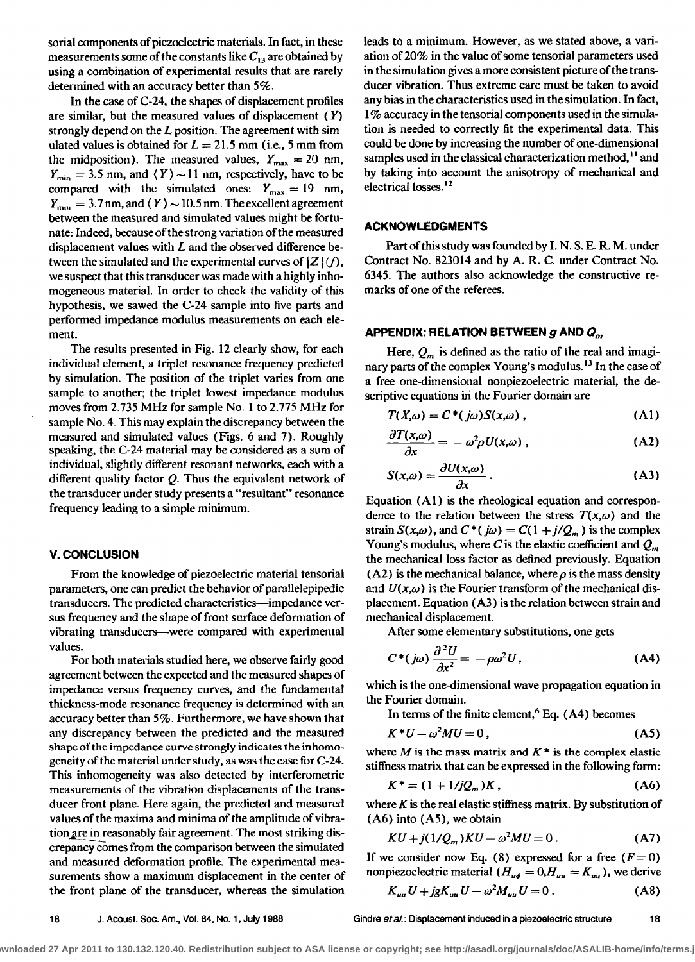sorial components of piezoelectric materials. In fact, in these measurements some of the constants like  $C_{13}$  are obtained by **using a combination of experimental results that are rarely determined with an accuracy better than 5%.** 

**In the case of C-24, the shapes of displacement profiles are similar, but the measured values of displacement (Y) strongly depend on the L position. The agreement with sim**ulated values is obtained for  $L = 21.5$  mm (i.e., 5 mm from the midposition). The measured values,  $Y_{\text{max}} = 20 \text{ nm}$ ,  $Y_{\text{min}} = 3.5$  nm, and  $\langle Y \rangle \sim 11$  nm, respectively, have to be compared with the simulated ones:  $Y_{\text{max}} = 19 \text{ nm}$ ,  $Y_{\text{min}} = 3.7$  nm, and  $\langle Y \rangle \sim 10.5$  nm. The excellent agreement **between the measured and simulated values might be fortunate: Indeed, because of the strong variation of the measured displacement values with L and the observed difference be**tween the simulated and the experimental curves of  $|Z|$  (f), **we suspect that this transducer was made with a highly inhomogeneous material. In order to check the validity of this hypothesis, we sawed the C-24 sample into five parts and performed impedance modulus measurements on each element.** 

**The results presented in Fig. 12 clearly show, for each individual element, a triplet resonance frequency predicted by simulation. The position of the triplet varies from one sample to another; the triplet lowest impedance modulus moves from 2.735 MHz for sample No. I to 2.775 MHz for sample No. 4. This may explain the discrepancy between the measured and simulated values (Figs. 6 and 7). Roughly speaking, the C-24 material may be considered as a sum of individual, slightly different resonant networks, each with a different quality factor Q. Thus the equivalent network of the transducer under study presents a "resultant" resonance frequency leading to a simple minimum.** 

## **v. CONCLUSION**

From the knowledge of piezoelectric material tensorial **parameters, one can predict the behavior of parallelepipedic transducers. The predicted characteristics--impedance versus frequency and the shape of front surface deformation of vibrating transducers--were compared with experimental values.** 

**For both materials studied here, we observe fairly good agreement between the expected and the measured shapes of impedance versus frequency curves, and the fundamental thickness-mode resonance frequency is determined with an accuracy better than 5%. Furthermore, we have shown that any discrepancy between the predicted and the measured shape of the impedance curve strongly indicates the inhomogeneity of the material under study, as was the case for C-24. This inhomogeneity was also detected by interferemetric measurements of the vibration displacements of the transducer front plane. Here again, the predicted and measured values of the maxima and minima of the amplitude of vibra**tion are in reasonably fair agreement. The most striking dis**crepancy comes from the comparison between the simulated and measured deformation profile. The experimental measurements show a maximum displacement in the center of the front plane of the transducer, whereas the simulation**  **leads to a minimum. However, as we stated above, a variation of 20% in the value of some tensoffal parameters used in the simulation gives a more consistent picture of the transducer vibration. Thus extreme care must be taken to avoid any bias in the characteristics used in the simulation. In fact, 1% accuracy in the tenserial components used in the simulation is needed to correctly fit the experimental data. This could be done by increasing the number of one-dimensional**  samples used in the classical characterization method,<sup>11</sup> and **by taking into account the anisotropy of mechanical and electrical losses. 12** 

# **ACKNOWLEDGMENTS**

**Part of this study was founded by I. N. S. E. R. M. under Contract No. 823014 and by A. R. C. under Contract No. 6345. The authors also acknowledge the constructive remarks of one of the referees.** 

## **APPENDIX: RELATION BETWEEN g AND O,,,**

Here,  $Q_m$  is defined as the ratio of the real and imagi**nary parts of the complex Young's modulus. • In the case of a free one-dimensional nonpiezoelectric material, the descriptive equations iri the Fourier domain are** 

$$
T(X,\omega) = C^*(j\omega)S(x,\omega), \qquad (A1)
$$

$$
\frac{\partial T(x,\omega)}{\partial x} = -\omega^2 \rho U(x,\omega) , \qquad (A2)
$$

$$
S(x,\omega) = \frac{\partial U(x,\omega)}{\partial x}.
$$
 (A3)

**Equation (AI) is the rheological equation and correspon**dence to the relation between the stress  $T(x, \omega)$  and the strain  $S(x,\omega)$ , and  $C^*(j\omega) = C(1+j/Q_m)$  is the complex Young's modulus, where C is the elastic coefficient and  $Q_m$ **the mechanical loss factor as defined previously. Equation**   $(A2)$  is the mechanical balance, where  $\rho$  is the mass density and  $U(x,\omega)$  is the Fourier transform of the mechanical dis**placement. Equation (A3) is the relation between strain and mechanical displacement.** 

**After some elementary substitutions, one gets** 

$$
C^*(j\omega)\frac{\partial^2 U}{\partial x^2} = -\rho\omega^2 U,\tag{A4}
$$

**which is the one-dimensional wave propagation equation in the Fourier domain.** 

In terms of the finite element,<sup>6</sup> Eq. (A4) becomes

$$
K^*U - \omega^2 MU = 0, \qquad (A5)
$$

where  $M$  is the mass matrix and  $K^*$  is the complex elastic **stiffness matrix that can be expressed in the following form:** 

$$
K^* = (1 + 1/jQ_m)K, \qquad (A6)
$$

**where K is the real elastic stiffness matrix. By substitution of (A6) into (AS), we obtain** 

$$
KU + j(1/Q_m)KU - \omega^2 MU = 0.
$$
 (A7)

If we consider now Eq. (8) expressed for a free  $(F= 0)$ **nonpiezoelectric material (** $H_{\mu\phi} = 0$ **,**  $H_{\mu\mu} = K_{\mu\mu}$ **)**, we derive

$$
K_{uu}U + igK_{uu}U - \omega^2 M_{uu}U = 0.
$$
 (A8)

**18 J. Acoust. Sec. Am., Vol. 84, No. 1, July 1988 Gindre eta/.: Displacement induced in a piezoelectric structure 18**